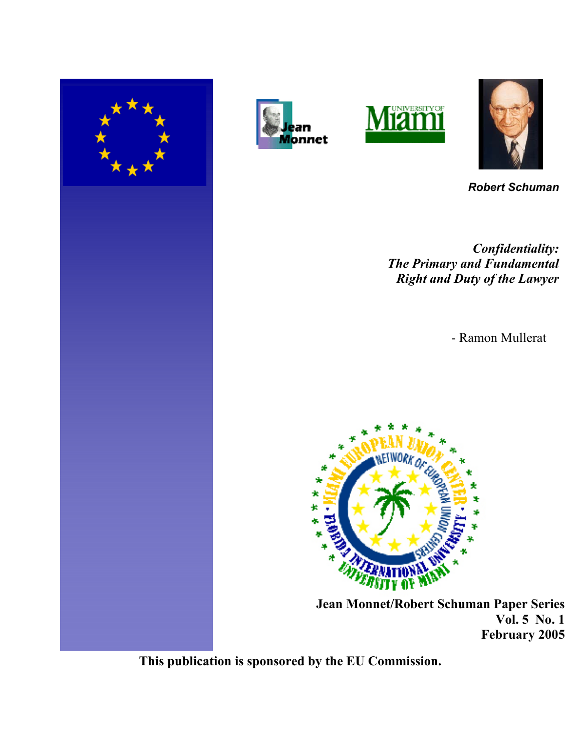







*Robert Schuman*

*Confidentiality: The Primary and Fundamental Right and Duty of the Lawyer*

- Ramon Mullerat



 **Jean Monnet/Robert Schuman Paper Series Vol. 5 No. 1 February 2005**

**This publication is sponsored by the EU Commission.**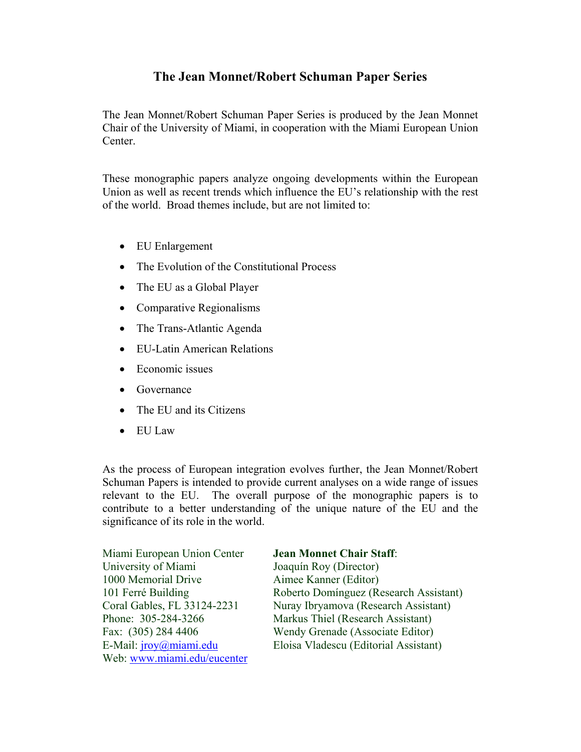## **The Jean Monnet/Robert Schuman Paper Series**

The Jean Monnet/Robert Schuman Paper Series is produced by the Jean Monnet Chair of the University of Miami, in cooperation with the Miami European Union Center.

These monographic papers analyze ongoing developments within the European Union as well as recent trends which influence the EU's relationship with the rest of the world. Broad themes include, but are not limited to:

- EU Enlargement
- The Evolution of the Constitutional Process
- The EU as a Global Player
- Comparative Regionalisms
- The Trans-Atlantic Agenda
- EU-Latin American Relations
- Economic issues
- Governance
- The EU and its Citizens
- EU Law

As the process of European integration evolves further, the Jean Monnet/Robert Schuman Papers is intended to provide current analyses on a wide range of issues relevant to the EU. The overall purpose of the monographic papers is to contribute to a better understanding of the unique nature of the EU and the significance of its role in the world.

| Miami European Union Center | <b>Jean Monnet Chair Staff:</b>        |
|-----------------------------|----------------------------------------|
| University of Miami         | Joaquín Roy (Director)                 |
| 1000 Memorial Drive         | Aimee Kanner (Editor)                  |
| 101 Ferré Building          | Roberto Domínguez (Research Assistant) |
| Coral Gables, FL 33124-2231 | Nuray Ibryamova (Research Assistant)   |
| Phone: 305-284-3266         | Markus Thiel (Research Assistant)      |
| Fax: (305) 284 4406         | Wendy Grenade (Associate Editor)       |
| E-Mail: jroy@miami.edu      | Eloisa Vladescu (Editorial Assistant)  |
| Web: www.miami.edu/eucenter |                                        |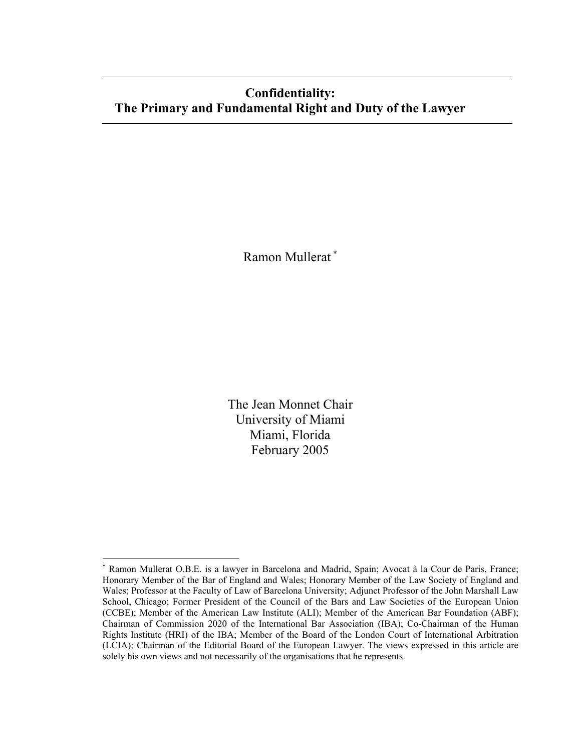# **Confidentiality: The Primary and Fundamental Right and Duty of the Lawyer**

Ramon Mullerat <sup>∗</sup>

The Jean Monnet Chair University of Miami Miami, Florida February 2005

 $\overline{a}$ 

<sup>∗</sup> Ramon Mullerat O.B.E. is a lawyer in Barcelona and Madrid, Spain; Avocat à la Cour de Paris, France; Honorary Member of the Bar of England and Wales; Honorary Member of the Law Society of England and Wales; Professor at the Faculty of Law of Barcelona University; Adjunct Professor of the John Marshall Law School, Chicago; Former President of the Council of the Bars and Law Societies of the European Union (CCBE); Member of the American Law Institute (ALI); Member of the American Bar Foundation (ABF); Chairman of Commission 2020 of the International Bar Association (IBA); Co-Chairman of the Human Rights Institute (HRI) of the IBA; Member of the Board of the London Court of International Arbitration (LCIA); Chairman of the Editorial Board of the European Lawyer. The views expressed in this article are solely his own views and not necessarily of the organisations that he represents.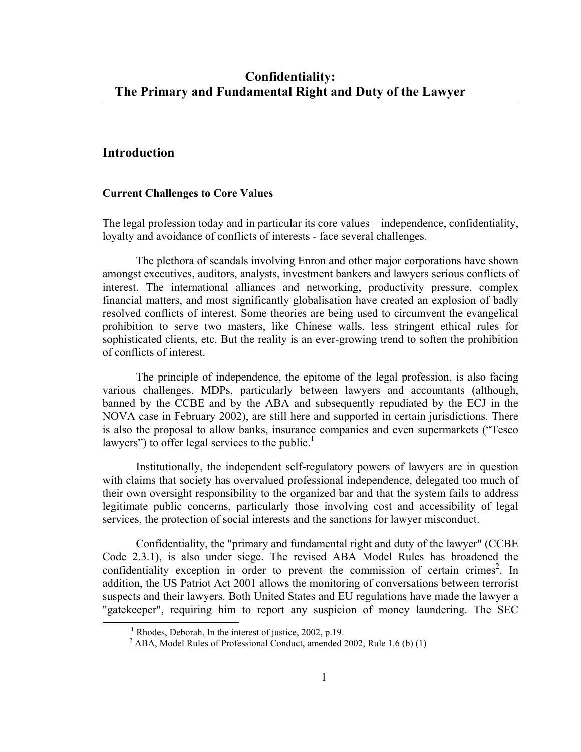## **Introduction**

#### **Current Challenges to Core Values**

The legal profession today and in particular its core values – independence, confidentiality, loyalty and avoidance of conflicts of interests - face several challenges.

The plethora of scandals involving Enron and other major corporations have shown amongst executives, auditors, analysts, investment bankers and lawyers serious conflicts of interest. The international alliances and networking, productivity pressure, complex financial matters, and most significantly globalisation have created an explosion of badly resolved conflicts of interest. Some theories are being used to circumvent the evangelical prohibition to serve two masters, like Chinese walls, less stringent ethical rules for sophisticated clients, etc. But the reality is an ever-growing trend to soften the prohibition of conflicts of interest.

The principle of independence, the epitome of the legal profession, is also facing various challenges. MDPs, particularly between lawyers and accountants (although, banned by the CCBE and by the ABA and subsequently repudiated by the ECJ in the NOVA case in February 2002), are still here and supported in certain jurisdictions. There is also the proposal to allow banks, insurance companies and even supermarkets ("Tesco lawyers") to offer legal services to the public. $<sup>1</sup>$ </sup>

Institutionally, the independent self-regulatory powers of lawyers are in question with claims that society has overvalued professional independence, delegated too much of their own oversight responsibility to the organized bar and that the system fails to address legitimate public concerns, particularly those involving cost and accessibility of legal services, the protection of social interests and the sanctions for lawyer misconduct.

Confidentiality, the "primary and fundamental right and duty of the lawyer" (CCBE Code 2.3.1), is also under siege. The revised ABA Model Rules has broadened the confidentiality exception in order to prevent the commission of certain crimes<sup>2</sup>. In addition, the US Patriot Act 2001 allows the monitoring of conversations between terrorist suspects and their lawyers. Both United States and EU regulations have made the lawyer a "gatekeeper", requiring him to report any suspicion of money laundering. The SEC

<sup>&</sup>lt;u>1</u>  $<sup>1</sup>$  Rhodes, Deborah, In the interest of justice, 2002, p.19.</sup>

 $^{2}$  ABA, Model Rules of Professional Conduct, amended 2002, Rule 1.6 (b) (1)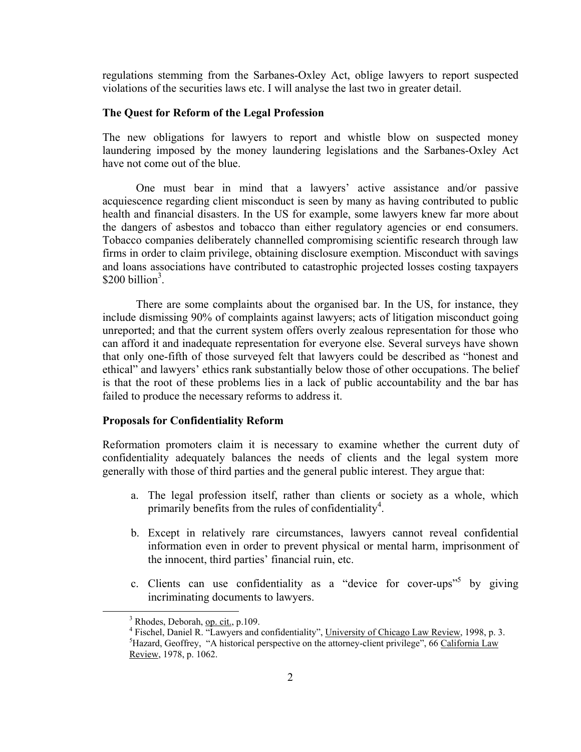regulations stemming from the Sarbanes-Oxley Act, oblige lawyers to report suspected violations of the securities laws etc. I will analyse the last two in greater detail.

#### **The Quest for Reform of the Legal Profession**

The new obligations for lawyers to report and whistle blow on suspected money laundering imposed by the money laundering legislations and the Sarbanes-Oxley Act have not come out of the blue.

One must bear in mind that a lawyers' active assistance and/or passive acquiescence regarding client misconduct is seen by many as having contributed to public health and financial disasters. In the US for example, some lawyers knew far more about the dangers of asbestos and tobacco than either regulatory agencies or end consumers. Tobacco companies deliberately channelled compromising scientific research through law firms in order to claim privilege, obtaining disclosure exemption. Misconduct with savings and loans associations have contributed to catastrophic projected losses costing taxpayers  $$200 billion<sup>3</sup>$ .

There are some complaints about the organised bar. In the US, for instance, they include dismissing 90% of complaints against lawyers; acts of litigation misconduct going unreported; and that the current system offers overly zealous representation for those who can afford it and inadequate representation for everyone else. Several surveys have shown that only one-fifth of those surveyed felt that lawyers could be described as "honest and ethical" and lawyers' ethics rank substantially below those of other occupations. The belief is that the root of these problems lies in a lack of public accountability and the bar has failed to produce the necessary reforms to address it.

### **Proposals for Confidentiality Reform**

Reformation promoters claim it is necessary to examine whether the current duty of confidentiality adequately balances the needs of clients and the legal system more generally with those of third parties and the general public interest. They argue that:

- a. The legal profession itself, rather than clients or society as a whole, which primarily benefits from the rules of confidentiality<sup>4</sup>.
- b. Except in relatively rare circumstances, lawyers cannot reveal confidential information even in order to prevent physical or mental harm, imprisonment of the innocent, third parties' financial ruin, etc.
- c. Clients can use confidentiality as a "device for cover-ups"<sup>5</sup> by giving incriminating documents to lawyers.

 $\overline{\phantom{a}}$ <sup>3</sup> Rhodes, Deborah, <u>op. cit.</u>, p.109.<br><sup>4</sup> Eisebel, Daniel B. "Launuars and c

<sup>&</sup>lt;sup>4</sup> Fischel, Daniel R. "Lawyers and confidentiality", University of Chicago Law Review, 1998, p. 3.  $^5$ Hazard, Gooffray, "A historical perspective on the atterney client privilege". 66 Colifornia Law  ${}^{5}$ Hazard, Geoffrey, "A historical perspective on the attorney-client privilege", 66 California Law Review, 1978, p. 1062.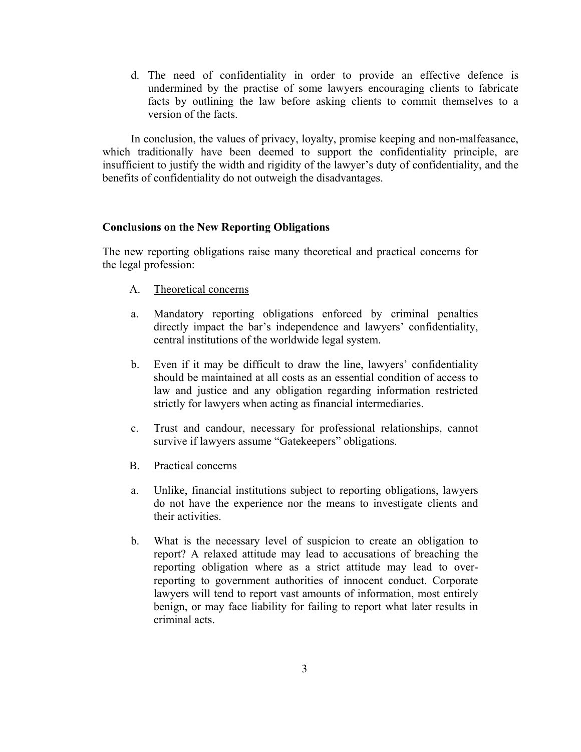d. The need of confidentiality in order to provide an effective defence is undermined by the practise of some lawyers encouraging clients to fabricate facts by outlining the law before asking clients to commit themselves to a version of the facts.

In conclusion, the values of privacy, loyalty, promise keeping and non-malfeasance, which traditionally have been deemed to support the confidentiality principle, are insufficient to justify the width and rigidity of the lawyer's duty of confidentiality, and the benefits of confidentiality do not outweigh the disadvantages.

#### **Conclusions on the New Reporting Obligations**

The new reporting obligations raise many theoretical and practical concerns for the legal profession:

- A. Theoretical concerns
- a. Mandatory reporting obligations enforced by criminal penalties directly impact the bar's independence and lawyers' confidentiality, central institutions of the worldwide legal system.
- b. Even if it may be difficult to draw the line, lawyers' confidentiality should be maintained at all costs as an essential condition of access to law and justice and any obligation regarding information restricted strictly for lawyers when acting as financial intermediaries.
- c. Trust and candour, necessary for professional relationships, cannot survive if lawyers assume "Gatekeepers" obligations.
- B. Practical concerns
- a. Unlike, financial institutions subject to reporting obligations, lawyers do not have the experience nor the means to investigate clients and their activities.
- b. What is the necessary level of suspicion to create an obligation to report? A relaxed attitude may lead to accusations of breaching the reporting obligation where as a strict attitude may lead to overreporting to government authorities of innocent conduct. Corporate lawyers will tend to report vast amounts of information, most entirely benign, or may face liability for failing to report what later results in criminal acts.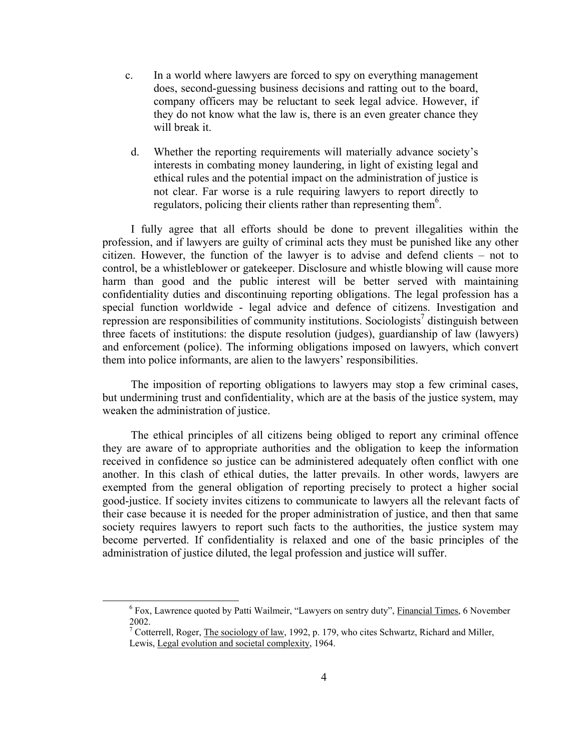- c. In a world where lawyers are forced to spy on everything management does, second-guessing business decisions and ratting out to the board, company officers may be reluctant to seek legal advice. However, if they do not know what the law is, there is an even greater chance they will break it.
- d. Whether the reporting requirements will materially advance society's interests in combating money laundering, in light of existing legal and ethical rules and the potential impact on the administration of justice is not clear. Far worse is a rule requiring lawyers to report directly to regulators, policing their clients rather than representing them<sup>6</sup>.

I fully agree that all efforts should be done to prevent illegalities within the profession, and if lawyers are guilty of criminal acts they must be punished like any other citizen. However, the function of the lawyer is to advise and defend clients – not to control, be a whistleblower or gatekeeper. Disclosure and whistle blowing will cause more harm than good and the public interest will be better served with maintaining confidentiality duties and discontinuing reporting obligations. The legal profession has a special function worldwide - legal advice and defence of citizens. Investigation and repression are responsibilities of community institutions. Sociologists<sup>7</sup> distinguish between three facets of institutions: the dispute resolution (judges), guardianship of law (lawyers) and enforcement (police). The informing obligations imposed on lawyers, which convert them into police informants, are alien to the lawyers' responsibilities.

The imposition of reporting obligations to lawyers may stop a few criminal cases, but undermining trust and confidentiality, which are at the basis of the justice system, may weaken the administration of justice.

The ethical principles of all citizens being obliged to report any criminal offence they are aware of to appropriate authorities and the obligation to keep the information received in confidence so justice can be administered adequately often conflict with one another. In this clash of ethical duties, the latter prevails. In other words, lawyers are exempted from the general obligation of reporting precisely to protect a higher social good-justice. If society invites citizens to communicate to lawyers all the relevant facts of their case because it is needed for the proper administration of justice, and then that same society requires lawyers to report such facts to the authorities, the justice system may become perverted. If confidentiality is relaxed and one of the basic principles of the administration of justice diluted, the legal profession and justice will suffer.

 <sup>6</sup> <sup>6</sup> Fox, Lawrence quoted by Patti Wailmeir, "Lawyers on sentry duty", Financial Times, 6 November 2002.

<sup>&</sup>lt;sup>7</sup> Cotterrell, Roger, The sociology of law, 1992, p. 179, who cites Schwartz, Richard and Miller, Lewis, Legal evolution and societal complexity, 1964.